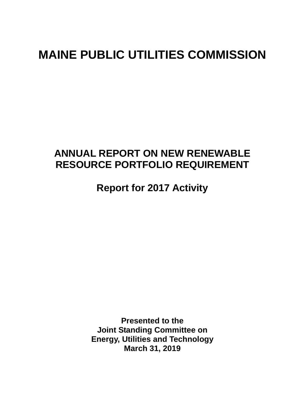# **MAINE PUBLIC UTILITIES COMMISSION**

# **ANNUAL REPORT ON NEW RENEWABLE RESOURCE PORTFOLIO REQUIREMENT**

**Report for 2017 Activity** 

**Presented to the Joint Standing Committee on Energy, Utilities and Technology March 31, 2019**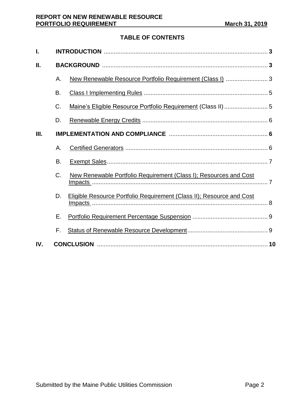# **TABLE OF CONTENTS**

| ı.  |    |                                                                       |  |  |  |
|-----|----|-----------------------------------------------------------------------|--|--|--|
| П.  |    |                                                                       |  |  |  |
|     | Α. | New Renewable Resource Portfolio Requirement (Class I)  3             |  |  |  |
|     | В. |                                                                       |  |  |  |
|     | C. |                                                                       |  |  |  |
|     | D. |                                                                       |  |  |  |
| Ш.  |    |                                                                       |  |  |  |
|     | Α. |                                                                       |  |  |  |
|     | B. |                                                                       |  |  |  |
|     | C. | New Renewable Portfolio Requirement (Class I); Resources and Cost     |  |  |  |
|     | D. | Eligible Resource Portfolio Requirement (Class II); Resource and Cost |  |  |  |
|     | Е. |                                                                       |  |  |  |
|     | F. |                                                                       |  |  |  |
| IV. |    |                                                                       |  |  |  |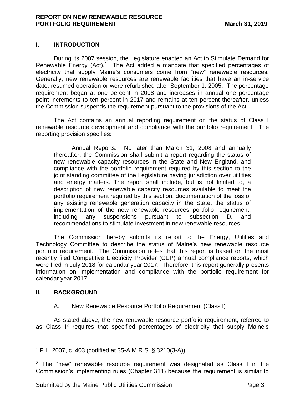# **I. INTRODUCTION**

During its 2007 session, the Legislature enacted an Act to Stimulate Demand for Renewable Energy  $(Act)$ .<sup>1</sup> The Act added a mandate that specified percentages of electricity that supply Maine's consumers come from "new" renewable resources. Generally, new renewable resources are renewable facilities that have an in-service date, resumed operation or were refurbished after September 1, 2005. The percentage requirement began at one percent in 2008 and increases in annual one percentage point increments to ten percent in 2017 and remains at ten percent thereafter, unless the Commission suspends the requirement pursuant to the provisions of the Act.

The Act contains an annual reporting requirement on the status of Class I renewable resource development and compliance with the portfolio requirement. The reporting provision specifies:

Annual Reports. No later than March 31, 2008 and annually thereafter, the Commission shall submit a report regarding the status of new renewable capacity resources in the State and New England, and compliance with the portfolio requirement required by this section to the joint standing committee of the Legislature having jurisdiction over utilities and energy matters. The report shall include, but is not limited to, a description of new renewable capacity resources available to meet the portfolio requirement required by this section, documentation of the loss of any existing renewable generation capacity in the State, the status of implementation of the new renewable resources portfolio requirement, including any suspensions pursuant to subsection D, and recommendations to stimulate investment in new renewable resources.

The Commission hereby submits its report to the Energy, Utilities and Technology Committee to describe the status of Maine's new renewable resource portfolio requirement. The Commission notes that this report is based on the most recently filed Competitive Electricity Provider (CEP) annual compliance reports, which were filed in July 2018 for calendar year 2017. Therefore, this report generally presents information on implementation and compliance with the portfolio requirement for calendar year 2017.

#### **II. BACKGROUND**

# A. New Renewable Resource Portfolio Requirement (Class I)

As stated above, the new renewable resource portfolio requirement, referred to as Class I<sup>2</sup> requires that specified percentages of electricity that supply Maine's

 $\overline{a}$ <sup>1</sup> P.L. 2007, c. 403 (codified at 35-A M.R.S. § 3210(3-A)).

<sup>&</sup>lt;sup>2</sup> The "new" renewable resource requirement was designated as Class I in the Commission's implementing rules (Chapter 311) because the requirement is similar to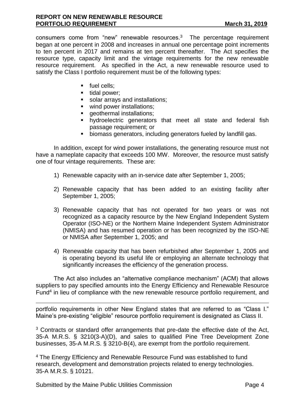consumers come from "new" renewable resources.<sup>3</sup> The percentage requirement began at one percent in 2008 and increases in annual one percentage point increments to ten percent in 2017 and remains at ten percent thereafter. The Act specifies the resource type, capacity limit and the vintage requirements for the new renewable resource requirement. As specified in the Act, a new renewable resource used to satisfy the Class I portfolio requirement must be of the following types:

- fuel cells;
- tidal power;
- solar arrays and installations;
- wind power installations;
- **•** geothermal installations;
- hydroelectric generators that meet all state and federal fish passage requirement; or
- biomass generators, including generators fueled by landfill gas.

In addition, except for wind power installations, the generating resource must not have a nameplate capacity that exceeds 100 MW. Moreover, the resource must satisfy one of four vintage requirements. These are:

- 1) Renewable capacity with an in-service date after September 1, 2005;
- 2) Renewable capacity that has been added to an existing facility after September 1, 2005;
- 3) Renewable capacity that has not operated for two years or was not recognized as a capacity resource by the New England Independent System Operator (ISO-NE) or the Northern Maine Independent System Administrator (NMISA) and has resumed operation or has been recognized by the ISO-NE or NMISA after September 1, 2005; and
- 4) Renewable capacity that has been refurbished after September 1, 2005 and is operating beyond its useful life or employing an alternate technology that significantly increases the efficiency of the generation process.

The Act also includes an "alternative compliance mechanism" (ACM) that allows suppliers to pay specified amounts into the Energy Efficiency and Renewable Resource Fund<sup>4</sup> in lieu of compliance with the new renewable resource portfolio requirement, and

portfolio requirements in other New England states that are referred to as "Class I." Maine's pre-existing "eligible" resource portfolio requirement is designated as Class II.

<sup>3</sup> Contracts or standard offer arrangements that pre-date the effective date of the Act, 35-A M.R.S. § 3210(3-A)(D), and sales to qualified Pine Tree Development Zone businesses, 35-A M.R.S. § 3210-B(4), are exempt from the portfolio requirement.

<sup>4</sup> The Energy Efficiency and Renewable Resource Fund was established to fund research, development and demonstration projects related to energy technologies. 35-A M.R.S. § 10121.

Submitted by the Maine Public Utilities Commission **Page 4** Page 4

 $\overline{a}$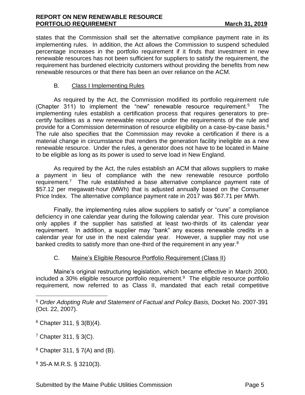states that the Commission shall set the alternative compliance payment rate in its implementing rules. In addition, the Act allows the Commission to suspend scheduled percentage increases in the portfolio requirement if it finds that investment in new renewable resources has not been sufficient for suppliers to satisfy the requirement, the requirement has burdened electricity customers without providing the benefits from new renewable resources or that there has been an over reliance on the ACM.

## B. Class I Implementing Rules

As required by the Act, the Commission modified its portfolio requirement rule (Chapter 311) to implement the "new" renewable resource requirement.<sup>5</sup> The implementing rules establish a certification process that requires generators to precertify facilities as a new renewable resource under the requirements of the rule and provide for a Commission determination of resource eligibility on a case-by-case basis.<sup>6</sup> The rule also specifies that the Commission may revoke a certification if there is a material change in circumstance that renders the generation facility ineligible as a new renewable resource. Under the rules, a generator does not have to be located in Maine to be eligible as long as its power is used to serve load in New England.

As required by the Act, the rules establish an ACM that allows suppliers to make a payment in lieu of compliance with the new renewable resource portfolio requirement.<sup>7</sup> The rule established a base alternative compliance payment rate of \$57.12 per megawatt-hour (MWh) that is adjusted annually based on the Consumer Price Index. The alternative compliance payment rate in 2017 was \$67.71 per MWh.

Finally, the implementing rules allow suppliers to satisfy or "cure" a compliance deficiency in one calendar year during the following calendar year. This cure provision only applies if the supplier has satisfied at least two-thirds of its calendar year requirement. In addition, a supplier may "bank" any excess renewable credits in a calendar year for use in the next calendar year. However, a supplier may not use banked credits to satisfy more than one-third of the requirement in any year. $8$ 

#### C. Maine's Eligible Resource Portfolio Requirement (Class II)

Maine's original restructuring legislation, which became effective in March 2000, included a 30% eligible resource portfolio requirement.<sup>9</sup> The eligible resource portfolio requirement, now referred to as Class II, mandated that each retail competitive

 $\overline{a}$ 

<sup>9</sup> 35-A M.R.S. § 3210(3).

<sup>5</sup> *Order Adopting Rule and Statement of Factual and Policy Basis,* Docket No. 2007-391 (Oct. 22, 2007).

 $6$  Chapter 311, § 3(B)(4).

<sup>7</sup> Chapter 311, § 3(C).

 $8$  Chapter 311, § 7(A) and (B).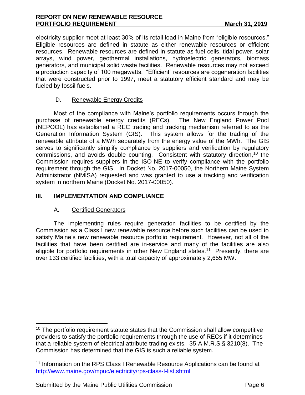electricity supplier meet at least 30% of its retail load in Maine from "eligible resources." Eligible resources are defined in statute as either renewable resources or efficient resources. Renewable resources are defined in statute as fuel cells, tidal power, solar arrays, wind power, geothermal installations, hydroelectric generators, biomass generators, and municipal solid waste facilities. Renewable resources may not exceed a production capacity of 100 megawatts. "Efficient" resources are cogeneration facilities that were constructed prior to 1997, meet a statutory efficient standard and may be fueled by fossil fuels.

# D. Renewable Energy Credits

Most of the compliance with Maine's portfolio requirements occurs through the purchase of renewable energy credits (RECs). The New England Power Pool (NEPOOL) has established a REC trading and tracking mechanism referred to as the Generation Information System (GIS). This system allows for the trading of the renewable attribute of a MWh separately from the energy value of the MWh. The GIS serves to significantly simplify compliance by suppliers and verification by regulatory commissions, and avoids double counting. Consistent with statutory direction,<sup>10</sup> the Commission requires suppliers in the ISO-NE to verify compliance with the portfolio requirement through the GIS. In Docket No. 2017-00050, the Northern Maine System Administrator (NMISA) requested and was granted to use a tracking and verification system in northern Maine (Docket No. 2017-00050).

#### **III. IMPLEMENTATION AND COMPLIANCE**

# A. Certified Generators

 $\overline{a}$ 

The implementing rules require generation facilities to be certified by the Commission as a Class I new renewable resource before such facilities can be used to satisfy Maine's new renewable resource portfolio requirement. However, not all of the facilities that have been certified are in-service and many of the facilities are also eligible for portfolio requirements in other New England states.<sup>11</sup> Presently, there are over 133 certified facilities, with a total capacity of approximately 2,655 MW.

Submitted by the Maine Public Utilities Commission **Page 6** Page 6

<sup>&</sup>lt;sup>10</sup> The portfolio requirement statute states that the Commission shall allow competitive providers to satisfy the portfolio requirements through the use of RECs if it determines that a reliable system of electrical attribute trading exists. 35-A M.R.S.§ 3210(8). The Commission has determined that the GIS is such a reliable system.

<sup>11</sup> Information on the RPS Class I Renewable Resource Applications can be found at <http://www.maine.gov/mpuc/electricity/rps-class-I-list.shtml>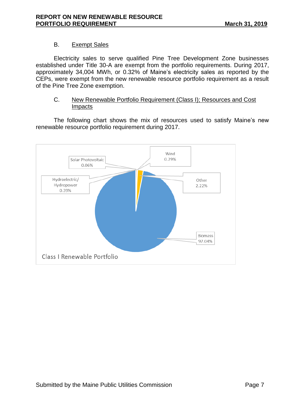# B. Exempt Sales

Electricity sales to serve qualified Pine Tree Development Zone businesses established under Title 30-A are exempt from the portfolio requirements. During 2017, approximately 34,004 MWh, or 0.32% of Maine's electricity sales as reported by the CEPs, were exempt from the new renewable resource portfolio requirement as a result of the Pine Tree Zone exemption.

#### C. New Renewable Portfolio Requirement (Class I); Resources and Cost Impacts

The following chart shows the mix of resources used to satisfy Maine's new renewable resource portfolio requirement during 2017.

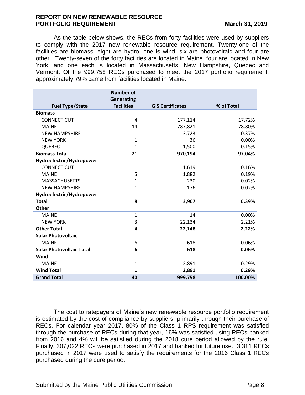As the table below shows, the RECs from forty facilities were used by suppliers to comply with the 2017 new renewable resource requirement. Twenty-one of the facilities are biomass, eight are hydro, one is wind, six are photovoltaic and four are other. Twenty-seven of the forty facilities are located in Maine, four are located in New York, and one each is located in Massachusetts, New Hampshire, Quebec and Vermont. Of the 999,758 RECs purchased to meet the 2017 portfolio requirement, approximately 79% came from facilities located in Maine.

|                                 | <b>Number of</b>                       |                         |            |
|---------------------------------|----------------------------------------|-------------------------|------------|
| <b>Fuel Type/State</b>          | <b>Generating</b><br><b>Facilities</b> | <b>GIS Certificates</b> | % of Total |
| <b>Biomass</b>                  |                                        |                         |            |
| <b>CONNECTICUT</b>              | 4                                      | 177,114                 | 17.72%     |
| <b>MAINE</b>                    | 14                                     | 787,821                 | 78.80%     |
| <b>NEW HAMPSHIRE</b>            | 1                                      | 3,723                   | 0.37%      |
| <b>NEW YORK</b>                 | 1                                      | 36                      | 0.00%      |
| <b>QUEBEC</b>                   | $\mathbf{1}$                           | 1,500                   | 0.15%      |
| <b>Biomass Total</b>            | 21                                     | 970,194                 | 97.04%     |
| Hydroelectric/Hydropower        |                                        |                         |            |
| CONNECTICUT                     | $\mathbf{1}$                           | 1,619                   | 0.16%      |
| <b>MAINE</b>                    | 5                                      | 1,882                   | 0.19%      |
| <b>MASSACHUSETTS</b>            | $\mathbf 1$                            | 230                     | 0.02%      |
| <b>NEW HAMPSHIRE</b>            | $\mathbf{1}$                           | 176                     | 0.02%      |
| Hydroelectric/Hydropower        |                                        |                         |            |
| <b>Total</b>                    | 8                                      | 3,907                   | 0.39%      |
| <b>Other</b>                    |                                        |                         |            |
| <b>MAINE</b>                    | 1                                      | 14                      | 0.00%      |
| <b>NEW YORK</b>                 | 3                                      | 22,134                  | 2.21%      |
| <b>Other Total</b>              | 4                                      | 22,148                  | 2.22%      |
| <b>Solar Photovoltaic</b>       |                                        |                         |            |
| <b>MAINE</b>                    | 6                                      | 618                     | 0.06%      |
| <b>Solar Photovoltaic Total</b> | 6                                      | 618                     | 0.06%      |
| Wind                            |                                        |                         |            |
| <b>MAINE</b>                    | $\mathbf{1}$                           | 2,891                   | 0.29%      |
| <b>Wind Total</b>               | 1                                      | 2,891                   | 0.29%      |
| <b>Grand Total</b>              | 40                                     | 999,758                 | 100.00%    |

The cost to ratepayers of Maine's new renewable resource portfolio requirement is estimated by the cost of compliance by suppliers, primarily through their purchase of RECs. For calendar year 2017, 80% of the Class 1 RPS requirement was satisfied through the purchase of RECs during that year, 16% was satisfied using RECs banked from 2016 and 4% will be satisfied during the 2018 cure period allowed by the rule. Finally, 307,022 RECs were purchased in 2017 and banked for future use. 3,311 RECs purchased in 2017 were used to satisfy the requirements for the 2016 Class 1 RECs purchased during the cure period.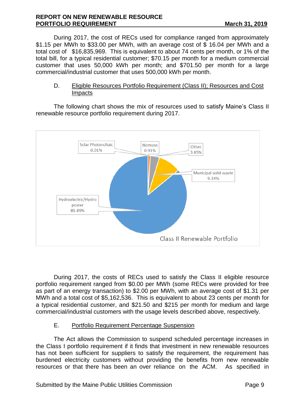During 2017, the cost of RECs used for compliance ranged from approximately \$1.15 per MWh to \$33.00 per MWh, with an average cost of \$ 16.04 per MWh and a total cost of \$16,835,969. This is equivalent to about 74 cents per month, or 1% of the total bill, for a typical residential customer; \$70.15 per month for a medium commercial customer that uses 50,000 kWh per month; and \$701.50 per month for a large commercial/industrial customer that uses 500,000 kWh per month.

#### D. Eligible Resources Portfolio Requirement (Class II); Resources and Cost Impacts

The following chart shows the mix of resources used to satisfy Maine's Class II renewable resource portfolio requirement during 2017.



During 2017, the costs of RECs used to satisfy the Class II eligible resource portfolio requirement ranged from \$0.00 per MWh (some RECs were provided for free as part of an energy transaction) to \$2.00 per MWh, with an average cost of \$1.31 per MWh and a total cost of \$5,162,536. This is equivalent to about 23 cents per month for a typical residential customer, and \$21.50 and \$215 per month for medium and large commercial/industrial customers with the usage levels described above, respectively.

# E. Portfolio Requirement Percentage Suspension

The Act allows the Commission to suspend scheduled percentage increases in the Class I portfolio requirement if it finds that investment in new renewable resources has not been sufficient for suppliers to satisfy the requirement, the requirement has burdened electricity customers without providing the benefits from new renewable resources or that there has been an over reliance on the ACM. As specified in